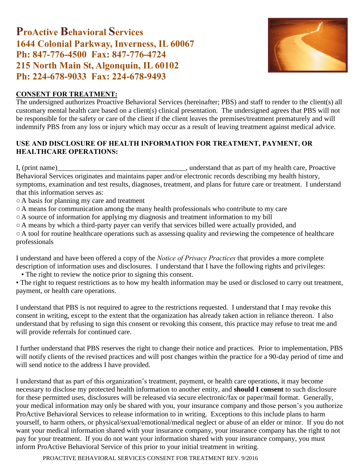# ProActive Behavioral Services 1644 Colonial Parkway, Inverness, IL 60067 Ph: 847-776-4500 Fax: 847-776-4724 215 North Main St, Algonquin, IL 60102 Ph: 224-678-9033 Fax: 224-678-9493



#### CONSENT FOR TREATMENT:

The undersigned authorizes Proactive Behavioral Services (hereinafter; PBS) and staff to render to the client(s) all customary mental health care based on a client(s) clinical presentation. The undersigned agrees that PBS will not be responsible for the safety or care of the client if the client leaves the premises/treatment prematurely and will indemnify PBS from any loss or injury which may occur as a result of leaving treatment against medical advice.

#### USE AND DISCLOSURE OF HEALTH INFORMATION FOR TREATMENT, PAYMENT, OR HEALTHCARE OPERATIONS:

I, (print name)\_\_\_\_\_\_\_\_\_\_\_\_\_\_\_\_\_\_\_\_\_\_\_\_\_\_\_\_\_\_\_\_\_\_\_\_, understand that as part of my health care, Proactive Behavioral Services originates and maintains paper and/or electronic records describing my health history, symptoms, examination and test results, diagnoses, treatment, and plans for future care or treatment. I understand that this information serves as:

○ A basis for planning my care and treatment

- A means for communication among the many health professionals who contribute to my care
- A source of information for applying my diagnosis and treatment information to my bill
- A means by which a third-party payer can verify that services billed were actually provided, and

○ A tool for routine healthcare operations such as assessing quality and reviewing the competence of healthcare professionals

I understand and have been offered a copy of the *Notice of Privacy Practices* that provides a more complete description of information uses and disclosures. I understand that I have the following rights and privileges:

• The right to review the notice prior to signing this consent.

• The right to request restrictions as to how my health information may be used or disclosed to carry out treatment, payment, or health care operations.

I understand that PBS is not required to agree to the restrictions requested. I understand that I may revoke this consent in writing, except to the extent that the organization has already taken action in reliance thereon. I also understand that by refusing to sign this consent or revoking this consent, this practice may refuse to treat me and will provide referrals for continued care.

I further understand that PBS reserves the right to change their notice and practices. Prior to implementation, PBS will notify clients of the revised practices and will post changes within the practice for a 90-day period of time and will send notice to the address I have provided.

I understand that as part of this organization's treatment, payment, or health care operations, it may become necessary to disclose my protected health information to another entity, and **should I consent** to such disclosure for these permitted uses, disclosures will be released via secure electronic/fax or paper/mail format. Generally, your medical information may only be shared with you, your insurance company and those person's you authorize ProActive Behavioral Services to release information to in writing. Exceptions to this include plans to harm yourself, to harm others, or physical/sexual/emotional/medical neglect or abuse of an elder or minor. If you do not want your medical information shared with your insurance company, your insurance company has the right to not pay for your treatment. If you do not want your information shared with your insurance company, you must inform ProActive Behavioral Service of this prior to your initial treatment in writing.

PROACTIVE BEHAVIORAL SERVICES CONSENT FOR TREATMENT REV. 9/2016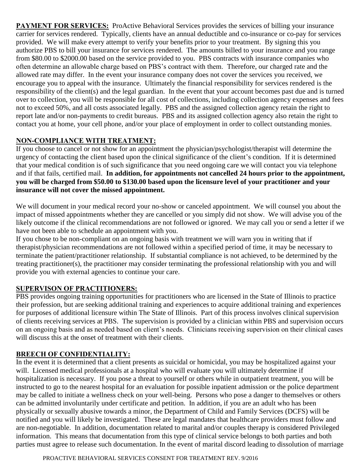**PAYMENT FOR SERVICES:** ProActive Behavioral Services provides the services of billing your insurance carrier for services rendered. Typically, clients have an annual deductible and co-insurance or co-pay for services provided. We will make every attempt to verify your benefits prior to your treatment. By signing this you authorize PBS to bill your insurance for services rendered. The amounts billed to your insurance and you range from \$80.00 to \$2000.00 based on the service provided to you. PBS contracts with insurance companies who often determine an allowable charge based on PBS's contract with them. Therefore, our charged rate and the allowed rate may differ. In the event your insurance company does not cover the services you received, we encourage you to appeal with the insurance. Ultimately the financial responsibility for services rendered is the responsibility of the client(s) and the legal guardian. In the event that your account becomes past due and is turned over to collection, you will be responsible for all cost of collections, including collection agency expenses and fees not to exceed 50%, and all costs associated legally. PBS and the assigned collection agency retain the right to report late and/or non-payments to credit bureaus. PBS and its assigned collection agency also retain the right to contact you at home, your cell phone, and/or your place of employment in order to collect outstanding monies.

## NON-COMPLIANCE WITH TREATMENT:

If you choose to cancel or not show for an appointment the physician/psychologist/therapist will determine the urgency of contacting the client based upon the clinical significance of the client's condition. If it is determined that your medical condition is of such significance that you need ongoing care we will contact you via telephone and if that fails, certified mail. **In addition, for appointments not cancelled 24 hours prior to the appointment, you will be charged from \$50.00 to \$130.00 based upon the licensure level of your practitioner and your insurance will not cover the missed appointment.** 

We will document in your medical record your no-show or canceled appointment. We will counsel you about the impact of missed appointments whether they are cancelled or you simply did not show. We will advise you of the likely outcome if the clinical recommendations are not followed or ignored. We may call you or send a letter if we have not been able to schedule an appointment with you.

If you chose to be non-compliant on an ongoing basis with treatment we will warn you in writing that if therapist/physician recommendations are not followed within a specified period of time, it may be necessary to terminate the patient/practitioner relationship. If substantial compliance is not achieved, to be determined by the treating practitioner(s), the practitioner may consider terminating the professional relationship with you and will provide you with external agencies to continue your care.

## SUPERVISON OF PRACTITIONERS:

PBS provides ongoing training opportunities for practitioners who are licensed in the State of Illinois to practice their profession, but are seeking additional training and experiences to acquire additional training and experiences for purposes of additional licensure within The State of Illinois. Part of this process involves clinical supervision of clients receiving services at PBS. The supervision is provided by a clinician within PBS and supervision occurs on an ongoing basis and as needed based on client's needs. Clinicians receiving supervision on their clinical cases will discuss this at the onset of treatment with their clients.

## BREECH OF CONFIDENTIALITY:

In the event it is determined that a client presents as suicidal or homicidal, you may be hospitalized against your will. Licensed medical professionals at a hospital who will evaluate you will ultimately determine if hospitalization is necessary. If you pose a threat to yourself or others while in outpatient treatment, you will be instructed to go to the nearest hospital for an evaluation for possible inpatient admission or the police department may be called to initiate a wellness check on your well-being. Persons who pose a danger to themselves or others can be admitted involuntarily under certificate and petition. In addition, if you are an adult who has been physically or sexually abusive towards a minor, the Department of Child and Family Services (DCFS) will be notified and you will likely be investigated. These are legal mandates that healthcare providers must follow and are non-negotiable. In addition, documentation related to marital and/or couples therapy is considered Privileged information. This means that documentation from this type of clinical service belongs to both parties and both parties must agree to release such documentation. In the event of marital discord leading to dissolution of marriage